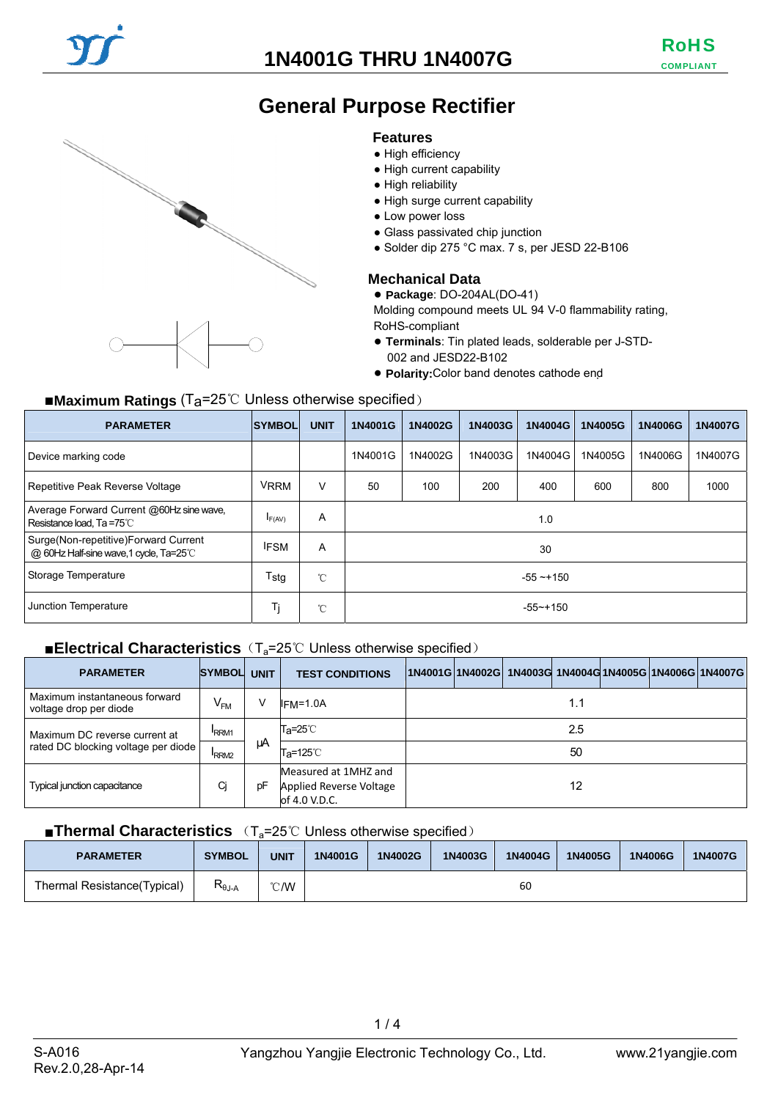## **1N4001G THRU 1N4007G**





## **General Purpose Rectifier**

#### **Features**

- High efficiency
- High current capability
- High reliability
- High surge current capability
- Low power loss
- Glass passivated chip junction
- Solder dip 275 °C max. 7 s, per JESD 22-B106

#### **Mechanical Data**

● **Package**: DO-204AL(DO-41)

Molding compound meets UL 94 V-0 flammability rating, RoHS-compliant

- **Terminals**: Tin plated leads, solderable per J-STD-002 and JESD22-B102
- **Polarity:**Color band denotes cathode end

### ■**Maximum Ratings** (Ta=25℃ Unless otherwise specified)

| <b>PARAMETER</b>                                                                | <b>SYMBOL</b> | <b>UNIT</b>  | 1N4001G       | 1N4002G | 1N4003G | 1N4004G | 1N4005G | 1N4006G | 1N4007G |
|---------------------------------------------------------------------------------|---------------|--------------|---------------|---------|---------|---------|---------|---------|---------|
| Device marking code                                                             |               |              | 1N4001G       | 1N4002G | 1N4003G | 1N4004G | 1N4005G | 1N4006G | 1N4007G |
| Repetitive Peak Reverse Voltage                                                 | <b>VRRM</b>   | v            | 50            | 100     | 200     | 400     | 600     | 800     | 1000    |
| Average Forward Current @60Hz sine wave,<br>Resistance load, Ta =75°C           | IF(AV)        | A            | 1.0           |         |         |         |         |         |         |
| Surge(Non-repetitive)Forward Current<br>@ 60Hz Half-sine wave, 1 cycle, Ta=25°C | <b>IFSM</b>   | A            | 30            |         |         |         |         |         |         |
| Storage Temperature                                                             | Tstg          | $^{\circ}$ C | $-55 - 150$   |         |         |         |         |         |         |
| Junction Temperature                                                            | Ti            | $^{\circ}$ C | $-55 - + 150$ |         |         |         |         |         |         |

#### ■**Electrical Characteristics** (T<sub>a</sub>=25℃ Unless otherwise specified)

| <b>PARAMETER</b>                                        | <b>SYMBOL</b>    | <b>UNIT</b> | <b>TEST CONDITIONS</b>                                           |     |  |  |  |  | 1N4001G 1N4002G  1N4003G  1N4004G 1N4005G 1N4006G 1N4007G |  |
|---------------------------------------------------------|------------------|-------------|------------------------------------------------------------------|-----|--|--|--|--|-----------------------------------------------------------|--|
| Maximum instantaneous forward<br>voltage drop per diode | $V_{FM}$         | ν           | $IFM=1.0A$                                                       | 1.1 |  |  |  |  |                                                           |  |
| Maximum DC reverse current at                           | RRM <sub>1</sub> |             | T <sub>a</sub> =25℃                                              | 2.5 |  |  |  |  |                                                           |  |
| rated DC blocking voltage per diode                     | RRM <sub>2</sub> | μA          | T <sub>a</sub> =125℃                                             | 50  |  |  |  |  |                                                           |  |
| <b>Typical junction capacitance</b>                     | Cj               | pF          | Measured at 1MHZ and<br>Applied Reverse Voltage<br>of 4.0 V.D.C. | 12  |  |  |  |  |                                                           |  |

#### ■**Thermal Characteristics** (T<sub>a</sub>=25℃ Unless otherwise specified)

| <b>PARAMETER</b>            | <b>SYMBOL</b>     | UNIT | 1N4001G | 1N4002G | 1N4003G | 1N4004G | 1N4005G | 1N4006G | 1N4007G |
|-----------------------------|-------------------|------|---------|---------|---------|---------|---------|---------|---------|
| Thermal Resistance(Typical) | ጒ <sub>θJ-A</sub> | °C/W |         |         |         | 60      |         |         |         |

 $1/4$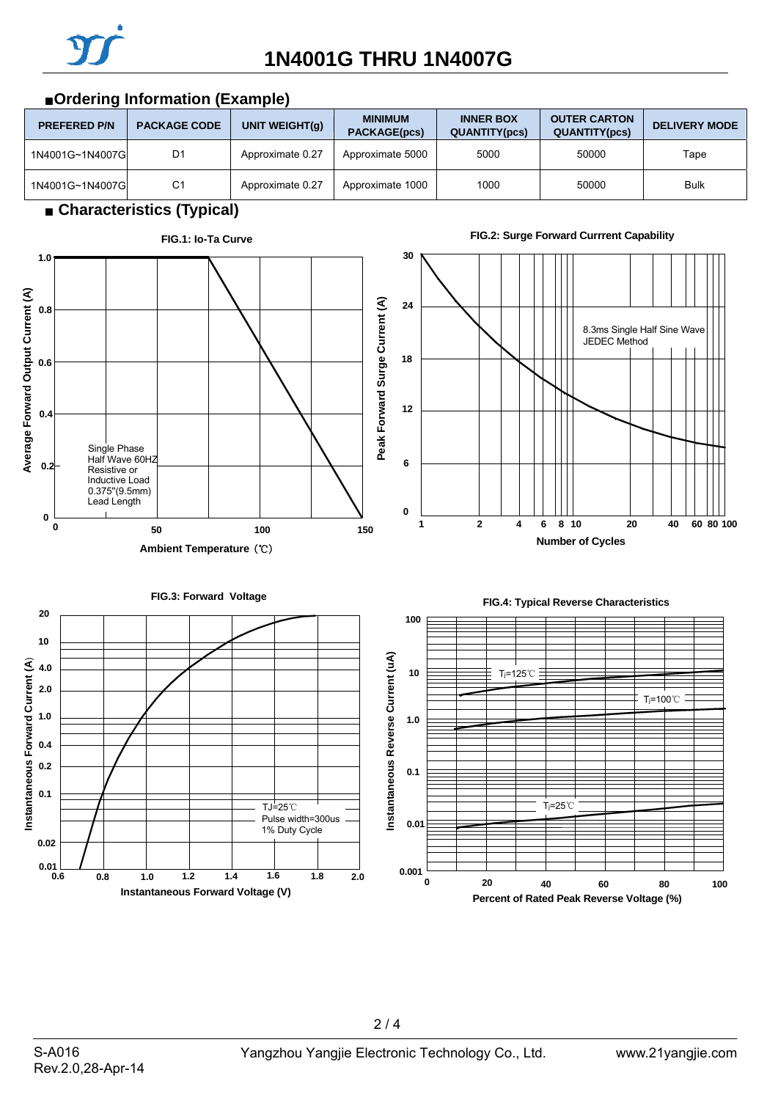

**INNER BOX** 

**OUTER CARTON** 



## ■**Ordering Information (Example)**

**PREFERED P/N PACKAGE CODE UNIT WEIGHT(g)** MINIMUM

 $2/4$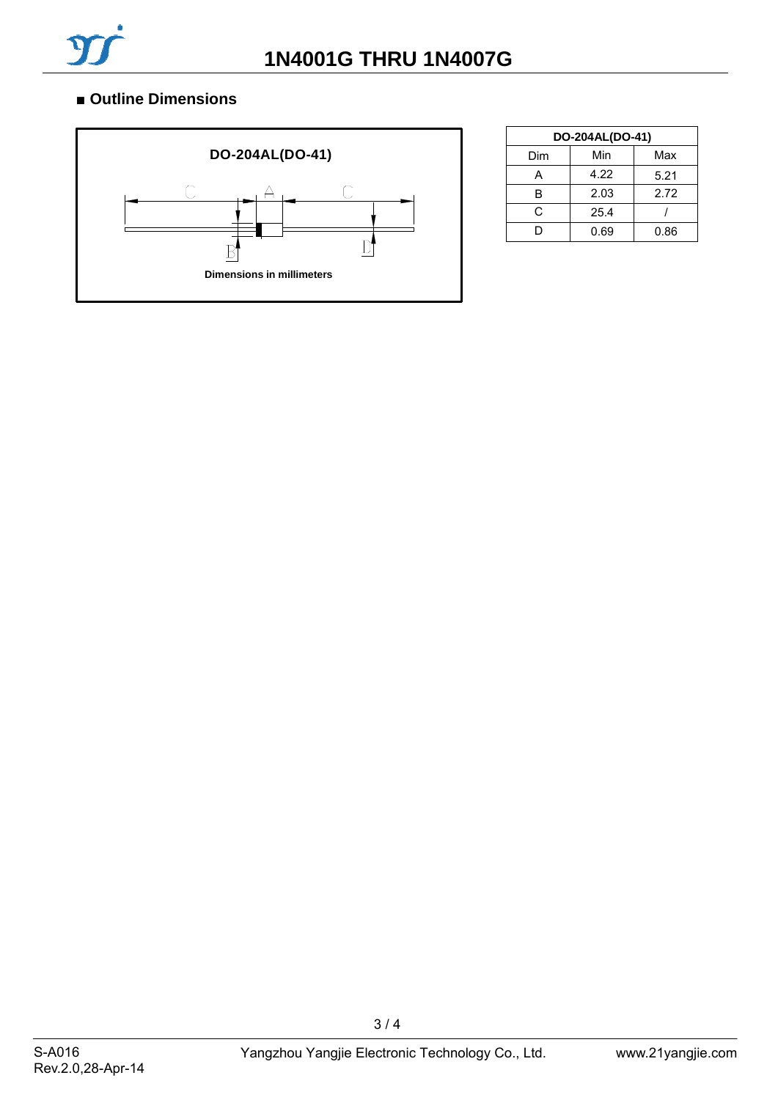![](_page_2_Picture_0.jpeg)

## ■ **Outline Dimensions**

![](_page_2_Figure_3.jpeg)

| DO-204AL(DO-41) |      |      |  |  |  |  |  |
|-----------------|------|------|--|--|--|--|--|
| Dim             | Min  | Max  |  |  |  |  |  |
| А               | 4.22 | 5.21 |  |  |  |  |  |
| R               | 2.03 | 2.72 |  |  |  |  |  |
| C.              | 25.4 |      |  |  |  |  |  |
|                 | 0.69 | 0.86 |  |  |  |  |  |